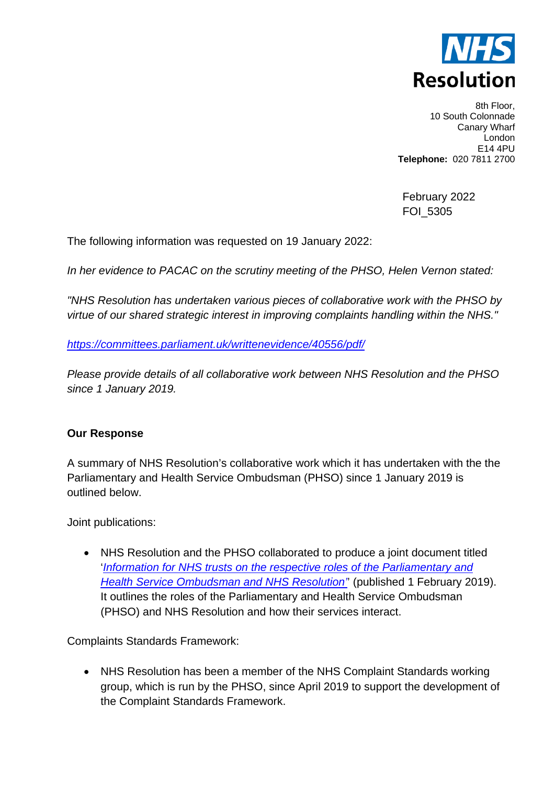

8th Floor, 10 South Colonnade Canary Wharf London E14 4PU **Telephone:** 020 7811 2700

February 2022 FOI\_5305

The following information was requested on 19 January 2022:

*In her evidence to PACAC on the scrutiny meeting of the PHSO, Helen Vernon stated:*

*"NHS Resolution has undertaken various pieces of collaborative work with the PHSO by virtue of our shared strategic interest in improving complaints handling within the NHS."*

*<https://committees.parliament.uk/writtenevidence/40556/pdf/>*

*Please provide details of all collaborative work between NHS Resolution and the PHSO since 1 January 2019.*

## **Our Response**

A summary of NHS Resolution's collaborative work which it has undertaken with the the Parliamentary and Health Service Ombudsman (PHSO) since 1 January 2019 is outlined below.

Joint publications:

• NHS Resolution and the PHSO collaborated to produce a joint document titled '*[Information for NHS trusts on the respective roles of the Parliamentary and](https://resolution.nhs.uk/wp-content/uploads/2019/02/20190131-PHSO-NHS-Resolution-joint-statement-FINAL.pdf)  [Health Service Ombudsman and NHS Resolution'](https://resolution.nhs.uk/wp-content/uploads/2019/02/20190131-PHSO-NHS-Resolution-joint-statement-FINAL.pdf)*' (published 1 February 2019). It outlines the roles of the Parliamentary and Health Service Ombudsman (PHSO) and NHS Resolution and how their services interact.

Complaints Standards Framework:

• NHS Resolution has been a member of the NHS Complaint Standards working group, which is run by the PHSO, since April 2019 to support the development of the Complaint Standards Framework.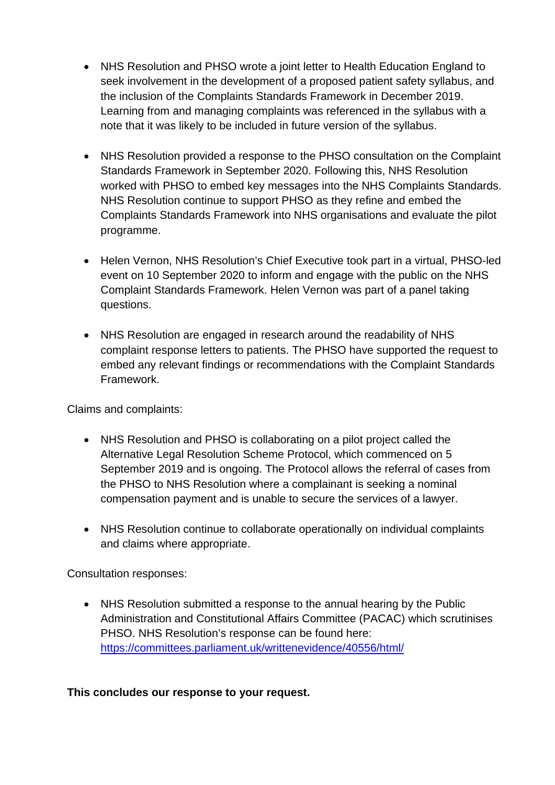- NHS Resolution and PHSO wrote a joint letter to Health Education England to seek involvement in the development of a proposed patient safety syllabus, and the inclusion of the Complaints Standards Framework in December 2019. Learning from and managing complaints was referenced in the syllabus with a note that it was likely to be included in future version of the syllabus.
- NHS Resolution provided a response to the PHSO consultation on the Complaint Standards Framework in September 2020. Following this, NHS Resolution worked with PHSO to embed key messages into the NHS Complaints Standards. NHS Resolution continue to support PHSO as they refine and embed the Complaints Standards Framework into NHS organisations and evaluate the pilot programme.
- Helen Vernon, NHS Resolution's Chief Executive took part in a virtual, PHSO-led event on 10 September 2020 to inform and engage with the public on the NHS Complaint Standards Framework. Helen Vernon was part of a panel taking questions.
- NHS Resolution are engaged in research around the readability of NHS complaint response letters to patients. The PHSO have supported the request to embed any relevant findings or recommendations with the Complaint Standards Framework.

Claims and complaints:

- NHS Resolution and PHSO is collaborating on a pilot project called the Alternative Legal Resolution Scheme Protocol, which commenced on 5 September 2019 and is ongoing. The Protocol allows the referral of cases from the PHSO to NHS Resolution where a complainant is seeking a nominal compensation payment and is unable to secure the services of a lawyer.
- NHS Resolution continue to collaborate operationally on individual complaints and claims where appropriate.

Consultation responses:

• NHS Resolution submitted a response to the annual hearing by the Public Administration and Constitutional Affairs Committee (PACAC) which scrutinises PHSO. NHS Resolution's response can be found here: <https://committees.parliament.uk/writtenevidence/40556/html/>

**This concludes our response to your request.**